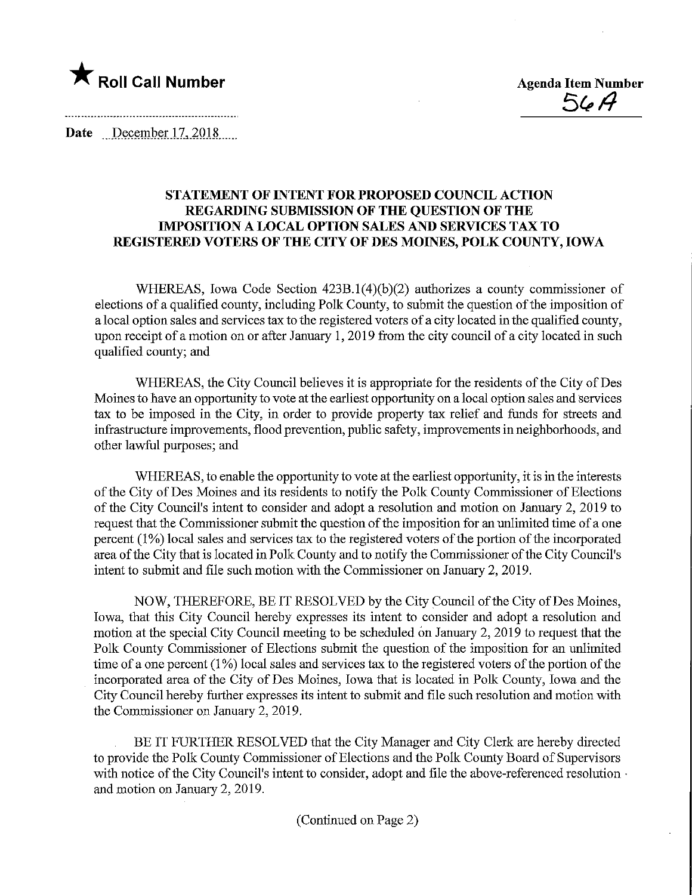

 $56A$ 

Date December 17, 2018.

## STATEMENT OF INTENT FOR PROPOSED COUNCIL ACTION REGARDING SUBMISSION OF THE QUESTION OF THE IMPOSITION A LOCAL OPTION SALES AND SERVICES TAX TO REGISTERED VOTERS OF THE CITY OF DES MOINES, POLK COUNTY, IOWA

WHEREAS, Iowa Code Section 423B.l(4)(b)(2) authorizes a county commissioner of elections of a qualified county, mcluding Polk County, to submit the question of the imposition of a local option sales and services tax to the registered voters of a city located in the qualified county, upon receipt of a motion on or after January 1, 2019 from the city council of a city located in such qualified county; and

WHEREAS, the City Council believes it is appropriate for the residents of the City of Des Moines to have an opportunity to vote at the earliest opportunity on a local option sales and Services tax to be imposed in the City, in order to provide property tax relief and funds for streets and infrastructure improvements, flood prevention, public safety, improvements in neighborhoods, and other lawful purposes; and

WHEREAS, to enable the opportunity to vote at the earliest opportunity, it is in the interests of the City of Des Moines and its residents to notify the Polk County Commissioner of Elections of the City Council's intent to consider and adopt a resolution and motion on January 2, 2019 to request that the Commissioner submit the question of the imposition for an unlimited time of a one percent (1%) local sales and services tax to the registered voters of the portion of the mcorporated area of the City that is located in Polk County and to notify the Commissioner of the City Council's intent to submit and file such motion with the Commissioner on January 2, 2019.

NOW, THEREFORE, BE IT RESOLVED by the City Council of the City of Des Moines, Iowa, that this City Council hereby expresses its intent to consider and adopt a resolution and motion at the special City Council meeting to be scheduled on January 2, 2019 to request that the Polk County Commissioner of Elections submit the question of the imposition for an unlimited time of a one percent (1%) local sales and services tax to the registered voters of the portion of the incorporated area of the City of Des Moines, Iowa that is located in Polk County, Iowa and the City Council hereby further expresses its intent to submit and file such resolution and motion with the Commissioner on January 2, 2019.

BE IT FURTHER RESOLVED that the City Manager and City Clerk are hereby directed to provide the Polk County Commissioner of Elections and the Polk County Board of Supervisors with notice of the City Council's intent to consider, adopt and file the above-referenced resolution  $\cdot$ and motion on January 2, 2019.

(Continued on Page 2)